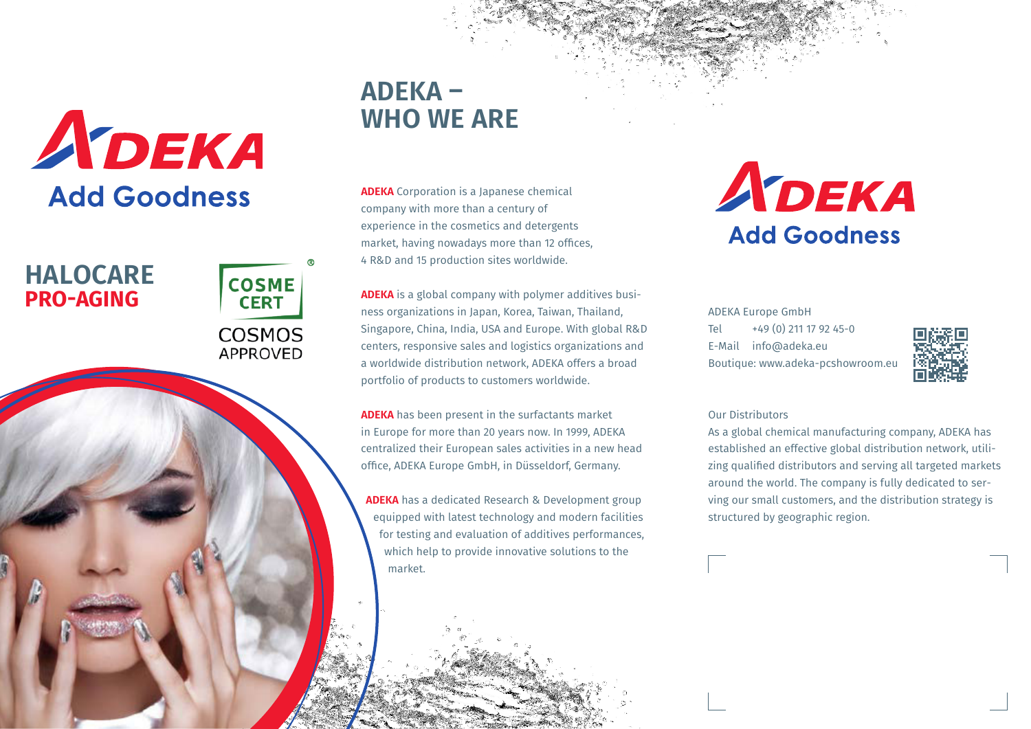

## **HALOCARE PRO-AGING**

**COSME CERT COSMOS APPROVED** 

# **ADEKA – WHO WE ARE**

**ADEKA** Corporation is a Japanese chemical company with more than a century of experience in the cosmetics and detergents market, having nowadays more than 12 offices, 4 R&D and 15 production sites worldwide.

**ADEKA** is a global company with polymer additives business organizations in Japan, Korea, Taiwan, Thailand, Singapore, China, India, USA and Europe. With global R&D centers, responsive sales and logistics organizations and a worldwide distribution network, ADEKA offers a broad portfolio of products to customers worldwide.

**ADEKA** has been present in the surfactants market in Europe for more than 20 years now. In 1999, ADEKA centralized their European sales activities in a new head office, ADEKA Europe GmbH, in Düsseldorf, Germany.

**ADEKA** has a dedicated Research & Development group equipped with latest technology and modern facilities for testing and evaluation of additives performances, which help to provide innovative solutions to the market.

ADEKA **Add Goodness** 

ADEKA Europe GmbH Tel +49 (0) 211 17 92 45-0 E-Mail info@adeka.eu Boutique: www.adeka-pcshowroom.eu



#### Our Distributors

As a global chemical manufacturing company, ADEKA has established an effective global distribution network, utilizing qualified distributors and serving all targeted markets around the world. The company is fully dedicated to serving our small customers, and the distribution strategy is structured by geographic region.